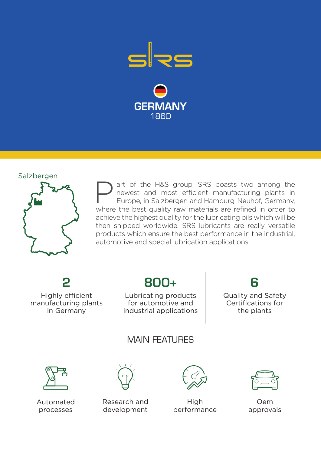



art of the H&S group, SRS boasts two among the newest and most efficient manufacturing plants in Europe, in Salzbergen and Hamburg-Neuhof, Germany, where the best quality raw materials are refined in order to achieve the highest quality for the lubricating oils which will be then shipped worldwide. SRS lubricants are really versatile products which ensure the best performance in the industrial, automotive and special lubrication applications. P

Highly efficient manufacturing plants in Germany

2

## 800+

Lubricating products for automotive and industrial applications Quality and Safety Certifications for the plants

6

## MAIN FFATI IRFS



Automated processes



Research and development



**High** performance



Oem approvals